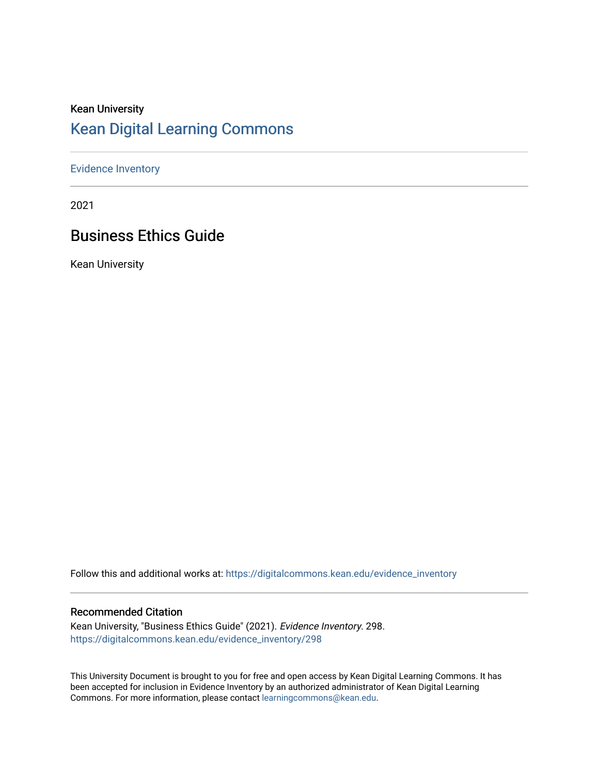# Kean University [Kean Digital Learning Commons](https://digitalcommons.kean.edu/)

#### [Evidence Inventory](https://digitalcommons.kean.edu/evidence_inventory)

2021

# Business Ethics Guide

Kean University

Follow this and additional works at: [https://digitalcommons.kean.edu/evidence\\_inventory](https://digitalcommons.kean.edu/evidence_inventory?utm_source=digitalcommons.kean.edu%2Fevidence_inventory%2F298&utm_medium=PDF&utm_campaign=PDFCoverPages)

#### Recommended Citation

Kean University, "Business Ethics Guide" (2021). Evidence Inventory. 298. [https://digitalcommons.kean.edu/evidence\\_inventory/298](https://digitalcommons.kean.edu/evidence_inventory/298?utm_source=digitalcommons.kean.edu%2Fevidence_inventory%2F298&utm_medium=PDF&utm_campaign=PDFCoverPages)

This University Document is brought to you for free and open access by Kean Digital Learning Commons. It has been accepted for inclusion in Evidence Inventory by an authorized administrator of Kean Digital Learning Commons. For more information, please contact [learningcommons@kean.edu.](mailto:learningcommons@kean.edu)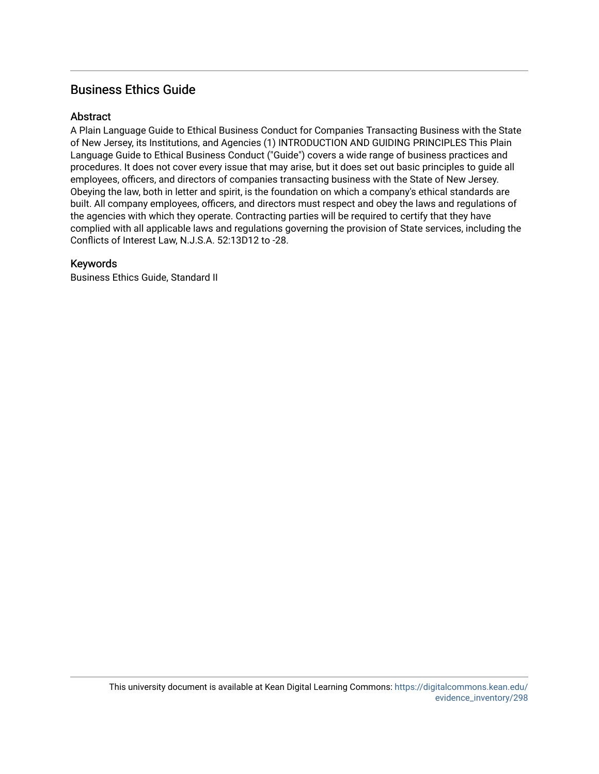### Business Ethics Guide

#### **Abstract**

A Plain Language Guide to Ethical Business Conduct for Companies Transacting Business with the State of New Jersey, its Institutions, and Agencies (1) INTRODUCTION AND GUIDING PRINCIPLES This Plain Language Guide to Ethical Business Conduct ("Guide") covers a wide range of business practices and procedures. It does not cover every issue that may arise, but it does set out basic principles to guide all employees, officers, and directors of companies transacting business with the State of New Jersey. Obeying the law, both in letter and spirit, is the foundation on which a company's ethical standards are built. All company employees, officers, and directors must respect and obey the laws and regulations of the agencies with which they operate. Contracting parties will be required to certify that they have complied with all applicable laws and regulations governing the provision of State services, including the Conflicts of Interest Law, N.J.S.A. 52:13D12 to -28.

#### Keywords

Business Ethics Guide, Standard II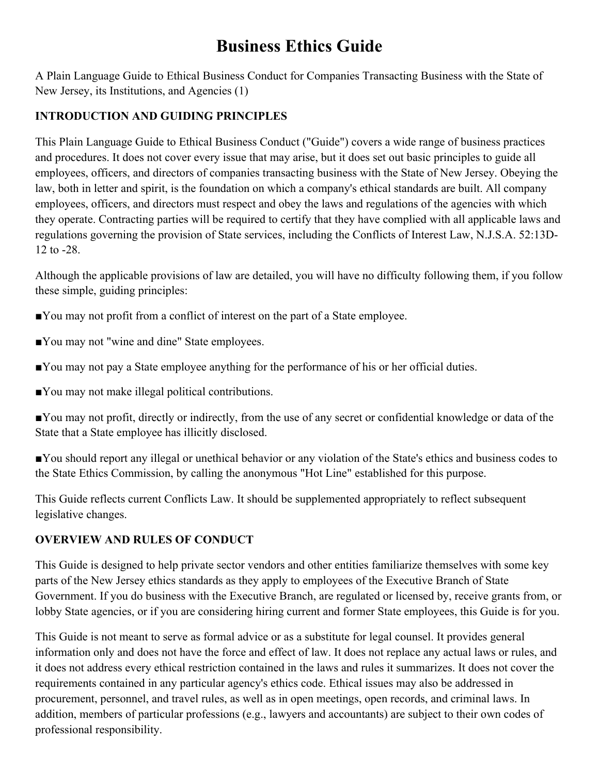# **Business Ethics Guide**

A Plain Language Guide to Ethical Business Conduct for Companies Transacting Business with the State of New Jersey, its Institutions, and Agencies (1)

## **INTRODUCTION AND GUIDING PRINCIPLES**

This Plain Language Guide to Ethical Business Conduct ("Guide") covers a wide range of business practices and procedures. It does not cover every issue that may arise, but it does set out basic principles to guide all employees, officers, and directors of companies transacting business with the State of New Jersey. Obeying the law, both in letter and spirit, is the foundation on which a company's ethical standards are built. All company employees, officers, and directors must respect and obey the laws and regulations of the agencies with which they operate. Contracting parties will be required to certify that they have complied with all applicable laws and regulations governing the provision of State services, including the Conflicts of Interest Law, N.J.S.A. 52:13D-12 to -28.

Although the applicable provisions of law are detailed, you will have no difficulty following them, if you follow these simple, guiding principles:

- ■You may not profit from a conflict of interest on the part of a State employee.
- ■You may not "wine and dine" State employees.
- ■You may not pay a State employee anything for the performance of his or her official duties.
- ■You may not make illegal political contributions.

■You may not profit, directly or indirectly, from the use of any secret or confidential knowledge or data of the State that a State employee has illicitly disclosed.

■You should report any illegal or unethical behavior or any violation of the State's ethics and business codes to the State Ethics Commission, by calling the anonymous "Hot Line" established for this purpose.

This Guide reflects current Conflicts Law. It should be supplemented appropriately to reflect subsequent legislative changes.

#### **OVERVIEW AND RULES OF CONDUCT**

This Guide is designed to help private sector vendors and other entities familiarize themselves with some key parts of the New Jersey ethics standards as they apply to employees of the Executive Branch of State Government. If you do business with the Executive Branch, are regulated or licensed by, receive grants from, or lobby State agencies, or if you are considering hiring current and former State employees, this Guide is for you.

This Guide is not meant to serve as formal advice or as a substitute for legal counsel. It provides general information only and does not have the force and effect of law. It does not replace any actual laws or rules, and it does not address every ethical restriction contained in the laws and rules it summarizes. It does not cover the requirements contained in any particular agency's ethics code. Ethical issues may also be addressed in procurement, personnel, and travel rules, as well as in open meetings, open records, and criminal laws. In addition, members of particular professions (e.g., lawyers and accountants) are subject to their own codes of professional responsibility.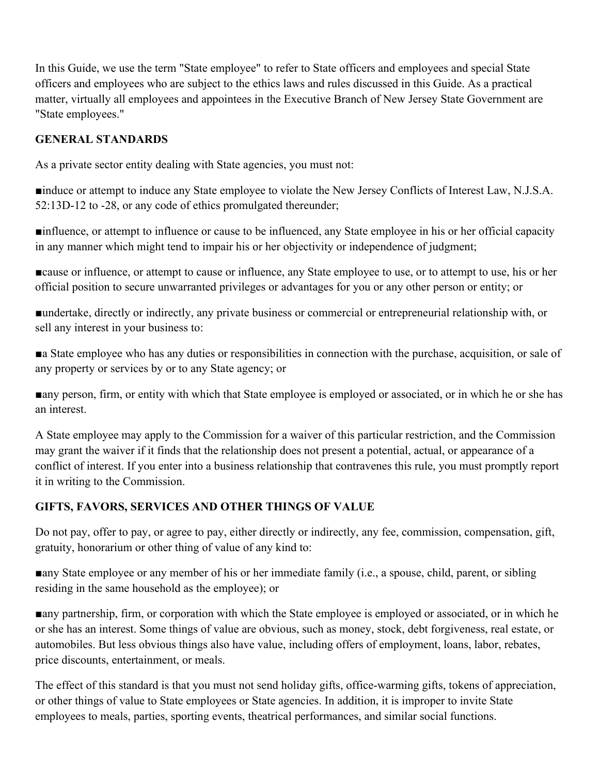In this Guide, we use the term "State employee" to refer to State officers and employees and special State officers and employees who are subject to the ethics laws and rules discussed in this Guide. As a practical matter, virtually all employees and appointees in the Executive Branch of New Jersey State Government are "State employees."

## **GENERAL STANDARDS**

As a private sector entity dealing with State agencies, you must not:

■induce or attempt to induce any State employee to violate the New Jersey Conflicts of Interest Law, N.J.S.A. 52:13D-12 to -28, or any code of ethics promulgated thereunder;

■influence, or attempt to influence or cause to be influenced, any State employee in his or her official capacity in any manner which might tend to impair his or her objectivity or independence of judgment;

■cause or influence, or attempt to cause or influence, any State employee to use, or to attempt to use, his or her official position to secure unwarranted privileges or advantages for you or any other person or entity; or

■undertake, directly or indirectly, any private business or commercial or entrepreneurial relationship with, or sell any interest in your business to:

■a State employee who has any duties or responsibilities in connection with the purchase, acquisition, or sale of any property or services by or to any State agency; or

■any person, firm, or entity with which that State employee is employed or associated, or in which he or she has an interest.

A State employee may apply to the Commission for a waiver of this particular restriction, and the Commission may grant the waiver if it finds that the relationship does not present a potential, actual, or appearance of a conflict of interest. If you enter into a business relationship that contravenes this rule, you must promptly report it in writing to the Commission.

#### **GIFTS, FAVORS, SERVICES AND OTHER THINGS OF VALUE**

Do not pay, offer to pay, or agree to pay, either directly or indirectly, any fee, commission, compensation, gift, gratuity, honorarium or other thing of value of any kind to:

■any State employee or any member of his or her immediate family (i.e., a spouse, child, parent, or sibling residing in the same household as the employee); or

■any partnership, firm, or corporation with which the State employee is employed or associated, or in which he or she has an interest. Some things of value are obvious, such as money, stock, debt forgiveness, real estate, or automobiles. But less obvious things also have value, including offers of employment, loans, labor, rebates, price discounts, entertainment, or meals.

The effect of this standard is that you must not send holiday gifts, office-warming gifts, tokens of appreciation, or other things of value to State employees or State agencies. In addition, it is improper to invite State employees to meals, parties, sporting events, theatrical performances, and similar social functions.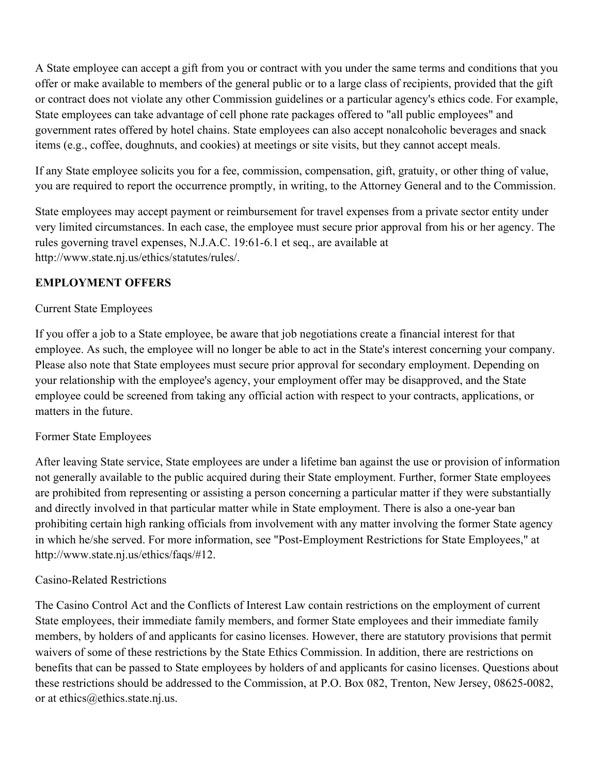A State employee can accept a gift from you or contract with you under the same terms and conditions that you offer or make available to members of the general public or to a large class of recipients, provided that the gift or contract does not violate any other Commission guidelines or a particular agency's ethics code. For example, State employees can take advantage of cell phone rate packages offered to "all public employees" and government rates offered by hotel chains. State employees can also accept nonalcoholic beverages and snack items (e.g., coffee, doughnuts, and cookies) at meetings or site visits, but they cannot accept meals.

If any State employee solicits you for a fee, commission, compensation, gift, gratuity, or other thing of value, you are required to report the occurrence promptly, in writing, to the Attorney General and to the Commission.

State employees may accept payment or reimbursement for travel expenses from a private sector entity under very limited circumstances. In each case, the employee must secure prior approval from his or her agency. The rules governing travel expenses, N.J.A.C. 19:61-6.1 et seq., are available at http://www.state.nj.us/ethics/statutes/rules/.

# **EMPLOYMENT OFFERS**

#### Current State Employees

If you offer a job to a State employee, be aware that job negotiations create a financial interest for that employee. As such, the employee will no longer be able to act in the State's interest concerning your company. Please also note that State employees must secure prior approval for secondary employment. Depending on your relationship with the employee's agency, your employment offer may be disapproved, and the State employee could be screened from taking any official action with respect to your contracts, applications, or matters in the future.

#### Former State Employees

After leaving State service, State employees are under a lifetime ban against the use or provision of information not generally available to the public acquired during their State employment. Further, former State employees are prohibited from representing or assisting a person concerning a particular matter if they were substantially and directly involved in that particular matter while in State employment. There is also a one-year ban prohibiting certain high ranking officials from involvement with any matter involving the former State agency in which he/she served. For more information, see "Post-Employment Restrictions for State Employees," at http://www.state.nj.us/ethics/faqs/#12.

#### Casino-Related Restrictions

The Casino Control Act and the Conflicts of Interest Law contain restrictions on the employment of current State employees, their immediate family members, and former State employees and their immediate family members, by holders of and applicants for casino licenses. However, there are statutory provisions that permit waivers of some of these restrictions by the State Ethics Commission. In addition, there are restrictions on benefits that can be passed to State employees by holders of and applicants for casino licenses. Questions about these restrictions should be addressed to the Commission, at P.O. Box 082, Trenton, New Jersey, 08625-0082, or at ethics@ethics.state.nj.us.